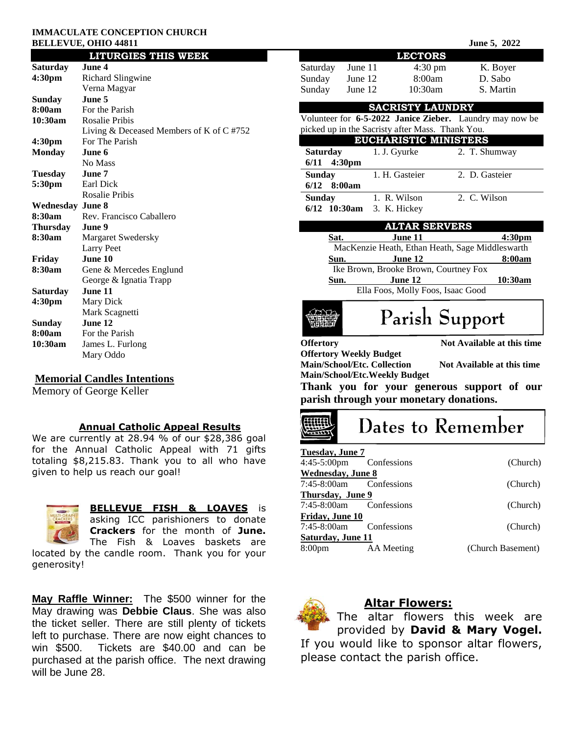#### **IMMACULATE CONCEPTION CHURCH BELLEVUE, OHIO 44811**

|                         | <b>LITURGIES THIS WEEK</b>              |  |  |
|-------------------------|-----------------------------------------|--|--|
| Saturday                | June 4                                  |  |  |
| 4:30 <sub>pm</sub>      | Richard Slingwine                       |  |  |
|                         | Verna Magyar                            |  |  |
| Sunday                  | June 5                                  |  |  |
| 8:00am                  | For the Parish                          |  |  |
| 10:30am                 | <b>Rosalie Pribis</b>                   |  |  |
|                         | Living & Deceased Members of K of C#752 |  |  |
| 4:30 <sub>pm</sub>      | For The Parish                          |  |  |
| <b>Monday</b>           | June 6                                  |  |  |
|                         | No Mass                                 |  |  |
| <b>Tuesday</b>          | June 7                                  |  |  |
| 5:30pm                  | Earl Dick                               |  |  |
|                         | <b>Rosalie Pribis</b>                   |  |  |
| <b>Wednesday June 8</b> |                                         |  |  |
| 8:30am                  | Rev. Francisco Caballero                |  |  |
| Thursdav                | June 9                                  |  |  |
| 8:30am                  | Margaret Swedersky                      |  |  |
|                         | <b>Larry Peet</b>                       |  |  |
| Friday                  | June 10                                 |  |  |
| 8:30am                  | Gene & Mercedes Englund                 |  |  |
|                         | George & Ignatia Trapp                  |  |  |
| Saturday                | June 11                                 |  |  |
| 4:30pm                  | Mary Dick                               |  |  |
|                         | Mark Scagnetti                          |  |  |
| Sunday                  | June 12                                 |  |  |
| 8:00am                  | For the Parish                          |  |  |
| 10:30am                 | James L. Furlong                        |  |  |
|                         | Mary Oddo                               |  |  |

### **Memorial Candles Intentions**

Memory of George Keller

## **Annual Catholic Appeal Results**

We are currently at 28.94 % of our \$28,386 goal for the Annual Catholic Appeal with 71 gifts totaling \$8,215.83. Thank you to all who have given to help us reach our goal!



**BELLEVUE FISH & LOAVES** is

asking ICC parishioners to donate **Crackers** for the month of **June.** The Fish & Loaves baskets are

located by the candle room. Thank you for your generosity!

**May Raffle Winner:** The \$500 winner for the May drawing was **Debbie Claus**. She was also the ticket seller. There are still plenty of tickets left to purchase. There are now eight chances to win \$500. Tickets are \$40.00 and can be purchased at the parish office. The next drawing will be June 28.

|                                                                                                                                                                                       |                                       |                                   | June 5, 2022                                                                          |  |  |
|---------------------------------------------------------------------------------------------------------------------------------------------------------------------------------------|---------------------------------------|-----------------------------------|---------------------------------------------------------------------------------------|--|--|
|                                                                                                                                                                                       |                                       | <b>LECTORS</b>                    |                                                                                       |  |  |
| Saturday                                                                                                                                                                              | June 11                               | $4:30 \text{ pm}$                 | K. Boyer                                                                              |  |  |
| Sunday                                                                                                                                                                                | June 12                               | 8:00am                            | D. Sabo                                                                               |  |  |
| Sunday                                                                                                                                                                                | June 12                               | 10:30am                           | S. Martin                                                                             |  |  |
|                                                                                                                                                                                       |                                       | <b>SACRISTY LAUNDRY</b>           |                                                                                       |  |  |
|                                                                                                                                                                                       |                                       |                                   | Volunteer for 6-5-2022 Janice Zieber. Laundry may now be                              |  |  |
| picked up in the Sacristy after Mass. Thank You.                                                                                                                                      |                                       |                                   |                                                                                       |  |  |
|                                                                                                                                                                                       |                                       |                                   | <b>EUCHARISTIC MINISTERS</b>                                                          |  |  |
| <b>Saturday</b><br>$6/11$ 4:30pm                                                                                                                                                      |                                       | 1. J. Gyurke                      | 2. T. Shumway                                                                         |  |  |
| <b>Sunday</b>                                                                                                                                                                         |                                       | 1. H. Gasteier                    | 2. D. Gasteier                                                                        |  |  |
| 6/12                                                                                                                                                                                  | 8:00am                                |                                   |                                                                                       |  |  |
| <b>Sunday</b>                                                                                                                                                                         |                                       | 1. R. Wilson                      | 2. C. Wilson                                                                          |  |  |
| $6/12$ 10:30am                                                                                                                                                                        |                                       | 3. K. Hickey                      |                                                                                       |  |  |
|                                                                                                                                                                                       |                                       | <b>ALTAR SERVERS</b>              |                                                                                       |  |  |
| Sat.                                                                                                                                                                                  |                                       | June 11                           | 4:30pm                                                                                |  |  |
|                                                                                                                                                                                       |                                       |                                   | MacKenzie Heath, Ethan Heath, Sage Middleswarth                                       |  |  |
| Sun.                                                                                                                                                                                  |                                       | June 12                           | 8:00am                                                                                |  |  |
| Sun.                                                                                                                                                                                  | Ike Brown, Brooke Brown, Courtney Fox | June 12                           | <u> 10:30am</u>                                                                       |  |  |
|                                                                                                                                                                                       |                                       | Ella Foos, Molly Foos, Isaac Good |                                                                                       |  |  |
|                                                                                                                                                                                       |                                       |                                   | Parish Support                                                                        |  |  |
| Not Available at this time<br><b>Offertory</b><br><b>Offertory Weekly Budget</b><br>Main/School/Etc. Collection<br>Not Available at this time<br><b>Main/School/Etc.Weekly Budget</b> |                                       |                                   |                                                                                       |  |  |
|                                                                                                                                                                                       |                                       |                                   | Thank you for your generous support of our<br>parish through your monetary donations. |  |  |
|                                                                                                                                                                                       |                                       |                                   | Dates to Remember                                                                     |  |  |
| <b>Tuesday</b> , June 7<br>4:45-5:00pm                                                                                                                                                | Confessions                           |                                   | (Church)                                                                              |  |  |
| <b>Wednesday</b> , June 8                                                                                                                                                             |                                       |                                   |                                                                                       |  |  |
| 7:45-8:00am                                                                                                                                                                           | Confessions                           |                                   | (Church)                                                                              |  |  |
| <b>Thursday, June 9</b><br>7:45-8:00am                                                                                                                                                | Confessions                           |                                   | (Church)                                                                              |  |  |
| Friday, June 10<br>7:45-8:00am                                                                                                                                                        | Confessions                           |                                   | (Church)                                                                              |  |  |
| <b>Saturday, June 11</b><br>8:00 <sub>pm</sub>                                                                                                                                        | <b>AA</b> Meeting                     |                                   | (Church Basement)                                                                     |  |  |
|                                                                                                                                                                                       |                                       |                                   |                                                                                       |  |  |

The altar flowers this week are provided by **David & Mary Vogel.**  If you would like to sponsor altar flowers, please contact the parish office.